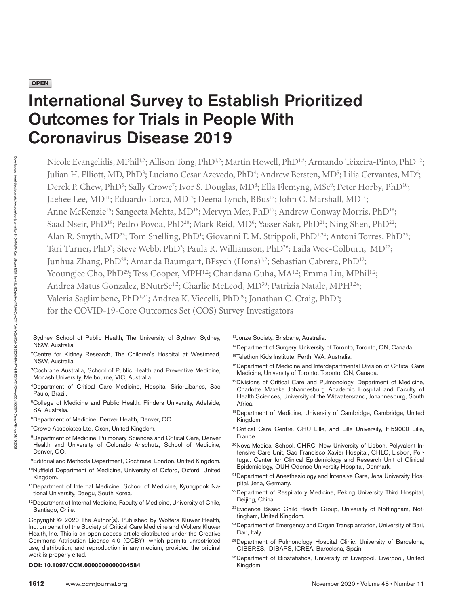**OPEN** 

Downloaded Downloaded from http://journals.

http://journals.lww.com/ccmjournal

হ

# International Survey to Establish Prioritized Outcomes for Trials in People With Coronavirus Disease 2019

Nicole Evangelidis, MPhil<sup>1,2</sup>; Allison Tong, PhD<sup>1,2</sup>; Martin Howell, PhD<sup>1,2</sup>; Armando Teixeira-Pinto, PhD<sup>1,2</sup>; Julian H. Elliott, MD, PhD<sup>3</sup>; Luciano Cesar Azevedo, PhD<sup>4</sup>; Andrew Bersten, MD<sup>5</sup>; Lilia Cervantes, MD<sup>6</sup>; Derek P. Chew, PhD<sup>5</sup>; Sally Crowe<sup>7</sup>; Ivor S. Douglas, MD<sup>8</sup>; Ella Flemyng, MSc<sup>9</sup>; Peter Horby, PhD<sup>10</sup>; Jaehee Lee, MD<sup>11</sup>; Eduardo Lorca, MD<sup>12</sup>; Deena Lynch, BBus<sup>13</sup>; John C. Marshall, MD<sup>14</sup>; Anne McKenzie<sup>15</sup>; Sangeeta Mehta, MD<sup>16</sup>; Mervyn Mer, PhD<sup>17</sup>; Andrew Conway Morris, PhD<sup>18</sup>; Saad Nseir, PhD<sup>19</sup>; Pedro Povoa, PhD<sup>20</sup>; Mark Reid, MD<sup>6</sup>; Yasser Sakr, PhD<sup>21</sup>; Ning Shen, PhD<sup>22</sup>; Alan R. Smyth, MD<sup>23</sup>; Tom Snelling, PhD<sup>1</sup>; Giovanni F. M. Strippoli, PhD<sup>1,24</sup>; Antoni Torres, PhD<sup>25</sup>; Tari Turner, PhD<sup>3</sup>; Steve Webb, PhD<sup>3</sup>; Paula R. Williamson, PhD<sup>26</sup>; Laila Woc-Colburn, MD<sup>27</sup>; Junhua Zhang, PhD<sup>28</sup>; Amanda Baumgart, BPsych (Hons)<sup>1,2</sup>; Sebastian Cabrera, PhD<sup>12</sup>; Yeoungjee Cho, PhD<sup>29</sup>; Tess Cooper, MPH<sup>1,2</sup>; Chandana Guha, MA<sup>1,2</sup>; Emma Liu, MPhil<sup>1,2</sup>; Andrea Matus Gonzalez, BNutrSc<sup>1,2</sup>; Charlie McLeod, MD<sup>30</sup>; Patrizia Natale, MPH<sup>1,24</sup>; Valeria Saglimbene, PhD<sup>1,24</sup>; Andrea K. Viecelli, PhD<sup>29</sup>; Jonathan C. Craig, PhD<sup>5</sup>; for the COVID-19-Core Outcomes Set (COS) Survey Investigators

- 1Sydney School of Public Health, The University of Sydney, Sydney, NSW, Australia.
- 2Centre for Kidney Research, The Children's Hospital at Westmead, NSW, Australia.
- <sup>3</sup>Cochrane Australia, School of Public Health and Preventive Medicine, Monash University, Melbourne, VIC, Australia.
- 4Department of Critical Care Medicine, Hospital Sirio-Libanes, São Paulo, Brazil.
- <sup>5</sup>College of Medicine and Public Health, Flinders University, Adelaide, SA, Australia.
- 6Department of Medicine, Denver Health, Denver, CO.
- 7Crowe Associates Ltd, Oxon, United Kingdom.
- 8Department of Medicine, Pulmonary Sciences and Critical Care, Denver Health and University of Colorado Anschutz, School of Medicine, Denver, CO.
- 9Editorial and Methods Department, Cochrane, London, United Kingdom.
- 10Nuffield Department of Medicine, University of Oxford, Oxford, United Kingdom.
- 11Department of Internal Medicine, School of Medicine, Kyungpook National University, Daegu, South Korea.
- <sup>12</sup>Department of Internal Medicine, Faculty of Medicine, University of Chile, Santiago, Chile.

Copyright © 2020 The Author(s). Published by Wolters Kluwer Health, Inc. on behalf of the Society of Critical Care Medicine and Wolters Kluwer Health, Inc. This is an open access article distributed under the [Creative](http://creativecommons.org/licenses/by/4.0/) [Commons Attribution License 4.0 \(CCBY\),](http://creativecommons.org/licenses/by/4.0/) which permits unrestricted use, distribution, and reproduction in any medium, provided the original work is properly cited.

#### DOI: 10.1097/CCM.0000000000004584 Kingdom.

13Jonze Society, Brisbane, Australia.

- <sup>14</sup>Department of Surgery, University of Toronto, Toronto, ON, Canada.
- <sup>15</sup>Telethon Kids Institute, Perth, WA, Australia.
- 16Department of Medicine and Interdepartmental Division of Critical Care Medicine, University of Toronto, Toronto, ON, Canada.
- <sup>17</sup>Divisions of Critical Care and Pulmonology, Department of Medicine, Charlotte Maxeke Johannesburg Academic Hospital and Faculty of Health Sciences, University of the Witwatersrand, Johannesburg, South Africa.
- 18Department of Medicine, University of Cambridge, Cambridge, United Kingdom.
- 19Critical Care Centre, CHU Lille, and Lille University, F-59000 Lille, France.
- <sup>20</sup>Nova Medical School, CHRC, New University of Lisbon, Polyvalent Intensive Care Unit, Sao Francisco Xavier Hospital, CHLO, Lisbon, Portugal. Center for Clinical Epidemiology and Research Unit of Clinical Epidemiology, OUH Odense University Hospital, Denmark.
- <sup>21</sup>Department of Anesthesiology and Intensive Care, Jena University Hospital, Jena, Germany.
- <sup>22</sup>Department of Respiratory Medicine, Peking University Third Hospital, Beijing, China.
- <sup>23</sup>Evidence Based Child Health Group, University of Nottingham, Nottingham, United Kingdom.
- <sup>24</sup>Department of Emergency and Organ Transplantation, University of Bari, Bari, Italy.
- <sup>25</sup>Department of Pulmonology Hospital Clinic. University of Barcelona, CIBERES, IDIBAPS, ICREA, Barcelona, Spain.
- <sup>26</sup>Department of Biostatistics, University of Liverpool, Liverpool, United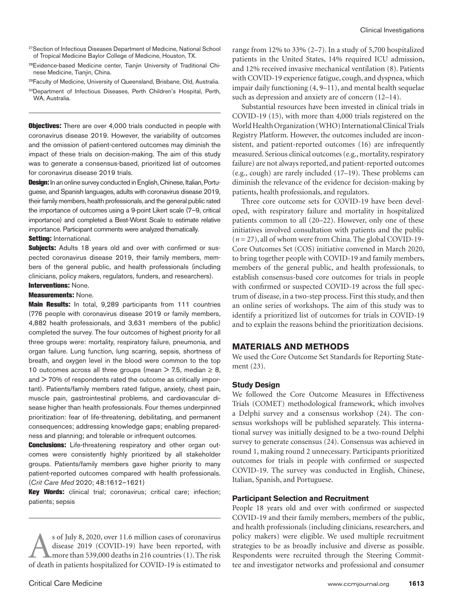- <sup>27</sup>Section of Infectious Diseases Department of Medicine, National School of Tropical Medicine Baylor College of Medicine, Houston, TX.
- 28Evidence-based Medicine center, Tianjin University of Traditional Chinese Medicine, Tianjin, China.
- <sup>29</sup>Faculty of Medicine, University of Queensland, Brisbane, Old, Australia.
- 30Department of Infectious Diseases, Perth Children's Hospital, Perth, WA, Australia.

**Objectives:** There are over 4,000 trials conducted in people with coronavirus disease 2019. However, the variability of outcomes and the omission of patient-centered outcomes may diminish the impact of these trials on decision-making. The aim of this study was to generate a consensus-based, prioritized list of outcomes for coronavirus disease 2019 trials.

Design: In an online survey conducted in English, Chinese, Italian, Portuguese, and Spanish languages, adults with coronavirus disease 2019, their family members, health professionals, and the general public rated the importance of outcomes using a 9-point Likert scale (7–9, critical importance) and completed a Best-Worst Scale to estimate relative importance. Participant comments were analyzed thematically. Setting: International.

Subjects: Adults 18 years old and over with confirmed or suspected coronavirus disease 2019, their family members, members of the general public, and health professionals (including clinicians, policy makers, regulators, funders, and researchers).

## Interventions: None.

## Measurements: None.

Main Results: In total, 9,289 participants from 111 countries (776 people with coronavirus disease 2019 or family members, 4,882 health professionals, and 3,631 members of the public) completed the survey. The four outcomes of highest priority for all three groups were: mortality, respiratory failure, pneumonia, and organ failure. Lung function, lung scarring, sepsis, shortness of breath, and oxygen level in the blood were common to the top 10 outcomes across all three groups (mean  $>$  7.5, median  $\geq$  8,  $and$   $>$  70% of respondents rated the outcome as critically important). Patients/family members rated fatigue, anxiety, chest pain, muscle pain, gastrointestinal problems, and cardiovascular disease higher than health professionals. Four themes underpinned prioritization: fear of life-threatening, debilitating, and permanent consequences; addressing knowledge gaps; enabling preparedness and planning; and tolerable or infrequent outcomes.

**Conclusions:** Life-threatening respiratory and other organ outcomes were consistently highly prioritized by all stakeholder groups. Patients/family members gave higher priority to many patient-reported outcomes compared with health professionals. (*Crit Care Med* 2020; 48:1612–1621)

Key Words: clinical trial; coronavirus; critical care; infection; patients; sepsis

s of July 8, 2020, over 11.6 million cases of coronavirus<br>disease 2019 (COVID-19) have been reported, with<br>more than 539,000 deaths in 216 countries (1). The risk<br>of death in patients hospitalized for COVID-19 is estimated disease 2019 (COVID-19) have been reported, with more than 539,000 deaths in 216 countries (1). The risk of death in patients hospitalized for COVID-19 is estimated to

range from 12% to 33% (2–7). In a study of 5,700 hospitalized patients in the United States, 14% required ICU admission, and 12% received invasive mechanical ventilation (8). Patients with COVID-19 experience fatigue, cough, and dyspnea, which impair daily functioning (4, 9–11), and mental health sequelae such as depression and anxiety are of concern (12–14).

Substantial resources have been invested in clinical trials in COVID-19 (15), with more than 4,000 trials registered on the World Health Organization (WHO) International Clinical Trials Registry Platform. However, the outcomes included are inconsistent, and patient-reported outcomes (16) are infrequently measured. Serious clinical outcomes (e.g., mortality, respiratory failure) are not always reported, and patient-reported outcomes (e.g., cough) are rarely included (17–19). These problems can diminish the relevance of the evidence for decision-making by patients, health professionals, and regulators.

Three core outcome sets for COVID-19 have been developed, with respiratory failure and mortality in hospitalized patients common to all (20–22). However, only one of these initiatives involved consultation with patients and the public (*n* = 27), all of whom were from China. The global COVID-19- Core Outcomes Set (COS) initiative convened in March 2020, to bring together people with COVID-19 and family members, members of the general public, and health professionals, to establish consensus-based core outcomes for trials in people with confirmed or suspected COVID-19 across the full spectrum of disease, in a two-step process. First this study, and then an online series of workshops. The aim of this study was to identify a prioritized list of outcomes for trials in COVID-19 and to explain the reasons behind the prioritization decisions.

## **MATERIALS AND METHODS**

We used the Core Outcome Set Standards for Reporting Statement (23).

#### **Study Design**

We followed the Core Outcome Measures in Effectiveness Trials (COMET) methodological framework, which involves a Delphi survey and a consensus workshop (24). The consensus workshops will be published separately. This international survey was initially designed to be a two-round Delphi survey to generate consensus (24). Consensus was achieved in round 1, making round 2 unnecessary. Participants prioritized outcomes for trials in people with confirmed or suspected COVID-19. The survey was conducted in English, Chinese, Italian, Spanish, and Portuguese.

#### **Participant Selection and Recruitment**

People 18 years old and over with confirmed or suspected COVID-19 and their family members, members of the public, and health professionals (including clinicians, researchers, and policy makers) were eligible. We used multiple recruitment strategies to be as broadly inclusive and diverse as possible. Respondents were recruited through the Steering Committee and investigator networks and professional and consumer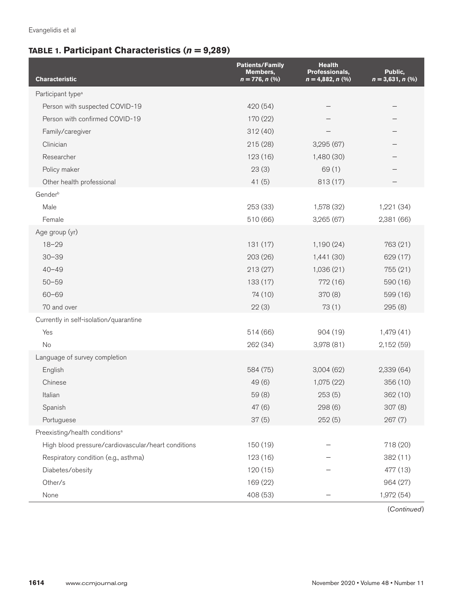## **TABLE 1. Participant Characteristics (***n* **= 9,289)**

| <b>Characteristic</b>                               | <b>Patients/Family</b><br>Members,<br>$n = 776, n$ (%) | <b>Health</b><br>Professionals,<br>$n = 4,882, n$ (%) | Public,<br>$n = 3,631, n$ (%) |
|-----------------------------------------------------|--------------------------------------------------------|-------------------------------------------------------|-------------------------------|
| Participant type <sup>a</sup>                       |                                                        |                                                       |                               |
| Person with suspected COVID-19                      | 420 (54)                                               |                                                       |                               |
| Person with confirmed COVID-19                      | 170 (22)                                               |                                                       |                               |
| Family/caregiver                                    | 312 (40)                                               |                                                       |                               |
| Clinician                                           | 215 (28)                                               | 3,295 (67)                                            |                               |
| Researcher                                          | 123 (16)                                               | 1,480 (30)                                            |                               |
| Policy maker                                        | 23(3)                                                  | 69(1)                                                 |                               |
| Other health professional                           | 41(5)                                                  | 813 (17)                                              |                               |
| Genderb                                             |                                                        |                                                       |                               |
| Male                                                | 253 (33)                                               | 1,578 (32)                                            | 1,221 (34)                    |
| Female                                              | 510 (66)                                               | 3,265 (67)                                            | 2,381 (66)                    |
| Age group (yr)                                      |                                                        |                                                       |                               |
| $18 - 29$                                           | 131 (17)                                               | 1,190(24)                                             | 763 (21)                      |
| $30 - 39$                                           | 203 (26)                                               | 1,441 (30)                                            | 629 (17)                      |
| $40 - 49$                                           | 213(27)                                                | 1,036(21)                                             | 755 (21)                      |
| $50 - 59$                                           | 133 (17)                                               | 772 (16)                                              | 590 (16)                      |
| $60 - 69$                                           | 74 (10)                                                | 370(8)                                                | 599 (16)                      |
| 70 and over                                         | 22(3)                                                  | 73(1)                                                 | 295(8)                        |
| Currently in self-isolation/quarantine              |                                                        |                                                       |                               |
| Yes                                                 | 514 (66)                                               | 904 (19)                                              | 1,479 (41)                    |
| No                                                  | 262 (34)                                               | 3,978 (81)                                            | 2,152 (59)                    |
| Language of survey completion                       |                                                        |                                                       |                               |
| English                                             | 584 (75)                                               | 3,004(62)                                             | 2,339 (64)                    |
| Chinese                                             | 49(6)                                                  | 1,075 (22)                                            | 356 (10)                      |
| Italian                                             | 59(8)                                                  | 253(5)                                                | 362 (10)                      |
| Spanish                                             | 47 (6)                                                 | 298 (6)                                               | 307 (8)                       |
| Portuguese                                          | 37(5)                                                  | 252(5)                                                | 267 (7)                       |
| Preexisting/health conditions <sup>a</sup>          |                                                        |                                                       |                               |
| High blood pressure/cardiovascular/heart conditions | 150 (19)                                               |                                                       | 718 (20)                      |
| Respiratory condition (e.g., asthma)                | 123 (16)                                               |                                                       | 382(11)                       |
| Diabetes/obesity                                    | 120 (15)                                               |                                                       | 477 (13)                      |
| Other/s                                             | 169 (22)                                               |                                                       | 964 (27)                      |
| None                                                | 408 (53)                                               |                                                       | 1,972 (54)                    |

(*Continued*)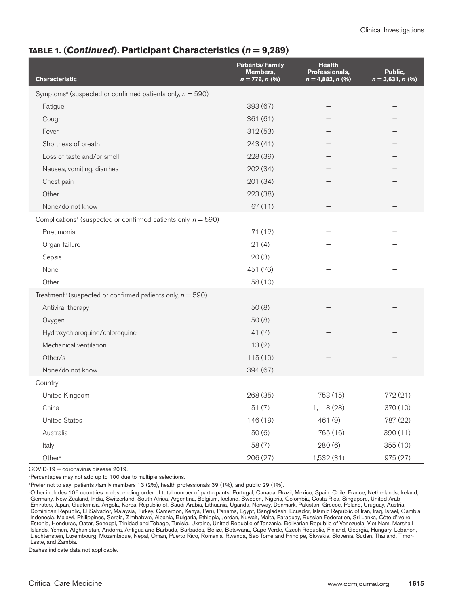## **TABLE 1. (***Continued***). Participant Chara***c***teristics (***n* **= 9,289)**

| <b>Characteristic</b>                                                         | <b>Patients/Family</b><br>Members,<br>$n = 776, n$ (%) | <b>Health</b><br>Professionals,<br>$n = 4,882, n$ (%) | Public,<br>$n = 3,631, n$ (%) |
|-------------------------------------------------------------------------------|--------------------------------------------------------|-------------------------------------------------------|-------------------------------|
| Symptoms <sup>a</sup> (suspected or confirmed patients only, $n = 590$ )      |                                                        |                                                       |                               |
| Fatigue                                                                       | 393 (67)                                               |                                                       |                               |
| Cough                                                                         | 361(61)                                                |                                                       |                               |
| Fever                                                                         | 312(53)                                                |                                                       |                               |
| Shortness of breath                                                           | 243(41)                                                |                                                       |                               |
| Loss of taste and/or smell                                                    | 228 (39)                                               |                                                       |                               |
| Nausea, vomiting, diarrhea                                                    | 202 (34)                                               |                                                       |                               |
| Chest pain                                                                    | 201 (34)                                               |                                                       |                               |
| Other                                                                         | 223 (38)                                               |                                                       |                               |
| None/do not know                                                              | 67 (11)                                                |                                                       |                               |
| Complications <sup>a</sup> (suspected or confirmed patients only, $n = 590$ ) |                                                        |                                                       |                               |
| Pneumonia                                                                     | 71 (12)                                                |                                                       |                               |
| Organ failure                                                                 | 21(4)                                                  |                                                       |                               |
| Sepsis                                                                        | 20(3)                                                  |                                                       |                               |
| None                                                                          | 451 (76)                                               |                                                       |                               |
| Other                                                                         | 58 (10)                                                |                                                       |                               |
| Treatment <sup>a</sup> (suspected or confirmed patients only, $n = 590$ )     |                                                        |                                                       |                               |
| Antiviral therapy                                                             | 50(8)                                                  |                                                       |                               |
| Oxygen                                                                        | 50(8)                                                  |                                                       |                               |
| Hydroxychloroquine/chloroquine                                                | 41(7)                                                  |                                                       |                               |
| Mechanical ventilation                                                        | 13(2)                                                  |                                                       |                               |
| Other/s                                                                       | 115 (19)                                               |                                                       |                               |
| None/do not know                                                              | 394 (67)                                               |                                                       |                               |
| Country                                                                       |                                                        |                                                       |                               |
| United Kingdom                                                                | 268 (35)                                               | 753 (15)                                              | 772 (21)                      |
| China                                                                         | 51(7)                                                  | 1,113 (23)                                            | 370 (10)                      |
| <b>United States</b>                                                          | 146 (19)                                               | 461 (9)                                               | 787 (22)                      |
| Australia                                                                     | 50(6)                                                  | 765 (16)                                              | 390(11)                       |
| Italy                                                                         | 58 (7)                                                 | 280(6)                                                | 355 (10)                      |
| Other <sup>c</sup>                                                            | 206 (27)                                               | 1,532 (31)                                            | 975 (27)                      |

COVID-19 = coronavirus disease 2019.

a Percentages may not add up to 100 due to multiple selections.

b Prefer not to say: patients /family members 13 (2%), health professionals 39 (1%), and public 29 (1%).

c Other includes 106 countries in descending order of total number of participants: Portugal, Canada, Brazil, Mexico, Spain, Chile, France, Netherlands, Ireland, Germany, New Zealand, India, Switzerland, South Africa, Argentina, Belgium, Iceland, Sweden, Nigeria, Colombia, Costa Rica, Singapore, United Arab Emirates, Japan, Guatemala, Angola, Korea, Republic of, Saudi Arabia, Lithuania, Uganda, Norway, Denmark, Pakistan, Greece, Poland, Uruguay, Austria, Dominican Republic, El Salvador, Malaysia, Turkey, Cameroon, Kenya, Peru, Panama, Egypt, Bangladesh, Ecuador, Islamic Republic of Iran, Iraq, Israel, Gambia, Indonesia, Malawi, Philippines, Serbia, Zimbabwe, Albania, Bulgaria, Ethiopia, Jordan, Kuwait, Malta, Paraguay, Russian Federation, Sri Lanka, Côte d'Ivoire, Estonia, Honduras, Qatar, Senegal, Trinidad and Tobago, Tunisia, Ukraine, United Republic of Tanzania, Bolivarian Republic of Venezuela, Viet Nam, Marshall Islands, Yemen, Afghanistan, Andorra, Antigua and Barbuda, Barbados, Belize, Botswana, Cape Verde, Czech Republic, Finland, Georgia, Hungary, Lebanon, Liechtenstein, Luxembourg, Mozambique, Nepal, Oman, Puerto Rico, Romania, Rwanda, Sao Tome and Principe, Slovakia, Slovenia, Sudan, Thailand, Timor-Leste, and Zambia.

Dashes indicate data not applicable.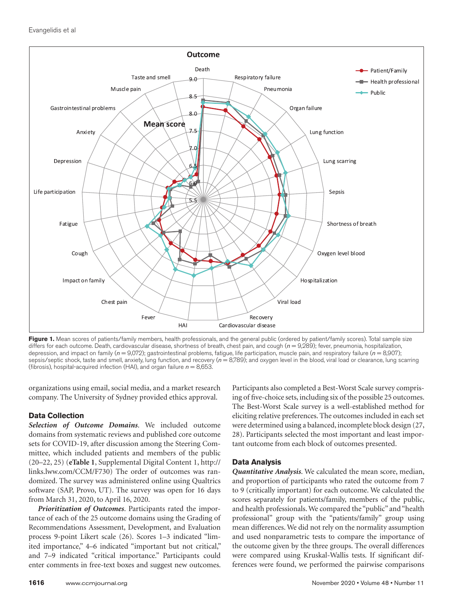

Figure 1. Mean scores of patients/family members, health professionals, and the general public (ordered by patient/family scores). Total sample size differs for each outcome. Death, cardiovascular disease, shortness of breath, chest pain, and cough ( $n = 9,289$ ); fever, pneumonia, hospitalization, depression, and impact on family (*n* = 9,072); gastrointestinal problems, fatigue, life participation, muscle pain, and respiratory failure (*n* = 8,907); sepsis/septic shock, taste and smell, anxiety, lung function, and recovery ( $n = 8,789$ ); and oxygen level in the blood, viral load or clearance, lung scarring (fibrosis), hospital-acquired infection (HAI), and organ failure  $n = 8,653$ .

organizations using email, social media, and a market research company. The University of Sydney provided ethics approval.

## **Data Collection**

*Selection of Outcome Domains*. We included outcome domains from systematic reviews and published core outcome sets for COVID-19, after discussion among the Steering Committee, which included patients and members of the public (20–22, 25) (**eTable 1**, Supplemental Digital Content 1, [http://](http://links.lww.com/CCM/F730) [links.lww.com/CCM/F730\)](http://links.lww.com/CCM/F730) The order of outcomes was randomized. The survey was administered online using Qualtrics software (SAP, Provo, UT). The survey was open for 16 days from March 31, 2020, to April 16, 2020.

*Prioritization of Outcomes*. Participants rated the importance of each of the 25 outcome domains using the Grading of Recommendations Assessment, Development, and Evaluation process 9-point Likert scale (26). Scores 1–3 indicated "limited importance," 4–6 indicated "important but not critical," and 7–9 indicated "critical importance." Participants could enter comments in free-text boxes and suggest new outcomes.

Participants also completed a Best-Worst Scale survey comprising of five-choice sets, including six of the possible 25 outcomes. The Best-Worst Scale survey is a well-established method for eliciting relative preferences. The outcomes included in each set were determined using a balanced, incomplete block design (27, 28). Participants selected the most important and least important outcome from each block of outcomes presented.

## **Data Analysis**

*Quantitative Analysis*. We calculated the mean score, median, and proportion of participants who rated the outcome from 7 to 9 (critically important) for each outcome. We calculated the scores separately for patients/family, members of the public, and health professionals. We compared the "public" and "health professional" group with the "patients/family" group using mean differences. We did not rely on the normality assumption and used nonparametric tests to compare the importance of the outcome given by the three groups. The overall differences were compared using Kruskal-Wallis tests. If significant differences were found, we performed the pairwise comparisons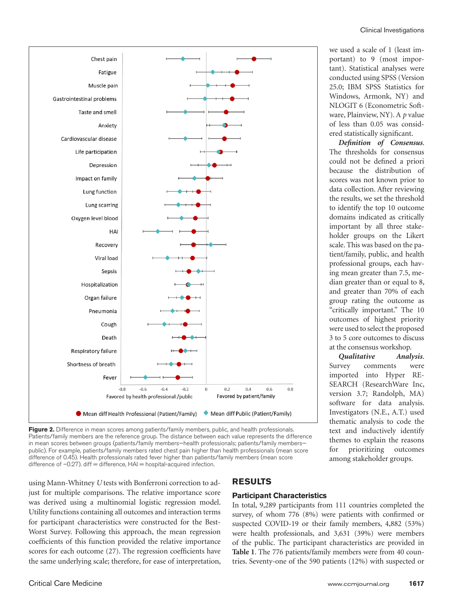we used a scale of 1 (least important) to 9 (most important). Statistical analyses were conducted using SPSS (Version 25.0; IBM SPSS Statistics for Windows, Armonk, NY) and NLOGIT 6 (Econometric Software, Plainview, NY). A *p* value of less than 0.05 was considered statistically significant.

*Definition of Consensus*. The thresholds for consensus could not be defined a priori because the distribution of scores was not known prior to data collection. After reviewing the results, we set the threshold to identify the top 10 outcome domains indicated as critically important by all three stakeholder groups on the Likert scale. This was based on the patient/family, public, and health professional groups, each having mean greater than 7.5, median greater than or equal to 8, and greater than 70% of each group rating the outcome as "critically important." The 10 outcomes of highest priority were used to select the proposed 3 to 5 core outcomes to discuss at the consensus workshop.

*Qualitative Analysis*. Survey comments were imported into Hyper RE-SEARCH (ResearchWare Inc, version 3.7; Randolph, MA) software for data analysis. Investigators (N.E., A.T.) used thematic analysis to code the text and inductively identify themes to explain the reasons for prioritizing outcomes among stakeholder groups.



**Figure 2.** Difference in mean scores among patients/family members, public, and health professionals. Patients/family members are the reference group. The distance between each value represents the difference in mean scores between groups (patients/family members—health professionals; patients/family memberspublic). For example, patients/family members rated chest pain higher than health professionals (mean score difference of 0.45). Health professionals rated fever higher than patients/family members (mean score difference of  $-0.27$ ). diff = difference,  $HAI$  = hospital-acquired infection.

using Mann-Whitney *U* tests with Bonferroni correction to adjust for multiple comparisons. The relative importance score was derived using a multinomial logistic regression model. Utility functions containing all outcomes and interaction terms for participant characteristics were constructed for the Best-Worst Survey. Following this approach, the mean regression coefficients of this function provided the relative importance scores for each outcome (27). The regression coefficients have the same underlying scale; therefore, for ease of interpretation,

## **RESULTS**

#### **Participant Characteristics**

In total, 9,289 participants from 111 countries completed the survey, of whom 776 (8%) were patients with confirmed or suspected COVID-19 or their family members, 4,882 (53%) were health professionals, and 3,631 (39%) were members of the public. The participant characteristics are provided in **Table 1**. The 776 patients/family members were from 40 countries. Seventy-one of the 590 patients (12%) with suspected or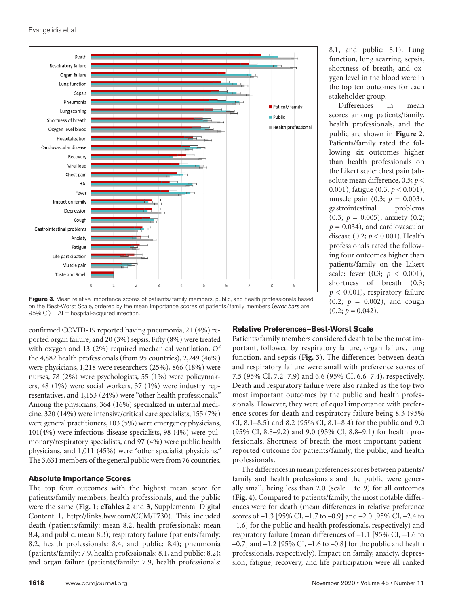

**Figure 3.** Mean relative importance scores of patients/family members, public, and health professionals based on the Best-Worst Scale, ordered by the mean importance scores of patients/family members (*error bars* are 95% CI). HAI = hospital-acquired infection.

confirmed COVID-19 reported having pneumonia, 21 (4%) reported organ failure, and 20 (3%) sepsis. Fifty (8%) were treated with oxygen and 13 (2%) required mechanical ventilation. Of the 4,882 health professionals (from 95 countries), 2,249 (46%) were physicians, 1,218 were researchers (25%), 866 (18%) were nurses, 78 (2%) were psychologists, 55 (1%) were policymakers, 48 (1%) were social workers, 37 (1%) were industry representatives, and 1,153 (24%) were "other health professionals." Among the physicians, 364 (16%) specialized in internal medicine, 320 (14%) were intensive/critical care specialists, 155 (7%) were general practitioners, 103 (5%) were emergency physicians, 101(4%) were infectious disease specialists, 98 (4%) were pulmonary/respiratory specialists, and 97 (4%) were public health physicians, and 1,011 (45%) were "other specialist physicians." The 3,631 members of the general public were from 76 countries.

## **Absolute Importance Scores**

The top four outcomes with the highest mean score for patients/family members, health professionals, and the public were the same (**Fig. 1**; **eTables 2** and **3**, Supplemental Digital Content 1, [http://links.lww.com/CCM/F730\)](http://links.lww.com/CCM/F730). This included death (patients/family: mean 8.2, health professionals: mean 8.4, and public: mean 8.3); respiratory failure (patients/family: 8.2, health professionals: 8.4, and public: 8.4); pneumonia (patients/family: 7.9, health professionals: 8.1, and public: 8.2); and organ failure (patients/family: 7.9, health professionals:

8.1, and public: 8.1). Lung function, lung scarring, sepsis, shortness of breath, and oxygen level in the blood were in the top ten outcomes for each stakeholder group.

Differences in mean scores among patients/family, health professionals, and the public are shown in **Figure 2**. Patients/family rated the following six outcomes higher than health professionals on the Likert scale: chest pain (absolute mean difference, 0.5; *p* < 0.001), fatigue (0.3; *p* < 0.001), muscle pain  $(0.3; p = 0.003)$ , gastrointestinal problems (0.3; *p* = 0.005), anxiety (0.2;  $p = 0.034$ , and cardiovascular disease (0.2; *p* < 0.001). Health professionals rated the following four outcomes higher than patients/family on the Likert scale: fever (0.3; *p* < 0.001), shortness of breath (0.3;  $p < 0.001$ ), respiratory failure  $(0.2; p = 0.002)$ , and cough  $(0.2; p = 0.042)$ .

#### **Relative Preferences—Best-Worst Scale**

Patients/family members considered death to be the most important, followed by respiratory failure, organ failure, lung function, and sepsis (**Fig. 3**). The differences between death and respiratory failure were small with preference scores of 7.5 (95% CI, 7.2–7.9) and 6.6 (95% CI, 6.6–7.4), respectively. Death and respiratory failure were also ranked as the top two most important outcomes by the public and health professionals. However, they were of equal importance with preference scores for death and respiratory failure being 8.3 (95% CI, 8.1–8.5) and 8.2 (95% CI, 8.1–8.4) for the public and 9.0 (95% CI, 8.8–9.2) and 9.0 (95% CI, 8.8–9.1) for health professionals. Shortness of breath the most important patientreported outcome for patients/family, the public, and health professionals.

The differences in mean preferences scores between patients/ family and health professionals and the public were generally small, being less than 2.0 (scale 1 to 9) for all outcomes (**Fig. 4**). Compared to patients/family, the most notable differences were for death (mean differences in relative preference scores of –1.3 [95% CI, –1.7 to –0.9] and –2.0 [95% CI, –2.4 to –1.6] for the public and health professionals, respectively) and respiratory failure (mean differences of –1.1 [95% CI, –1.6 to  $-0.7$ ] and  $-1.2$  [95% CI,  $-1.6$  to  $-0.8$ ] for the public and health professionals, respectively). Impact on family, anxiety, depression, fatigue, recovery, and life participation were all ranked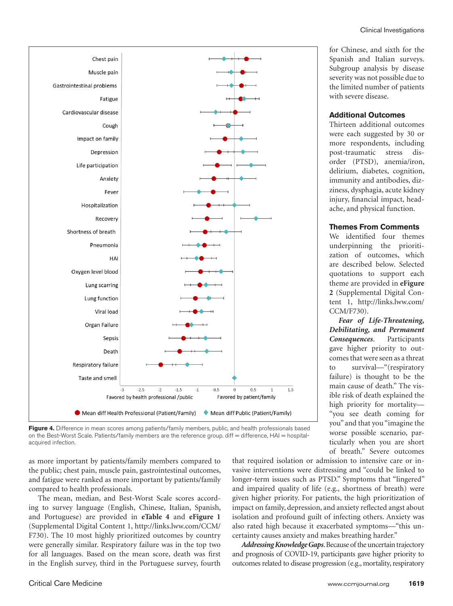

#### **Additional Outcomes**

Thirteen additional outcomes were each suggested by 30 or more respondents, including post-traumatic stress disorder (PTSD), anemia/iron, delirium, diabetes, cognition, immunity and antibodies, dizziness, dysphagia, acute kidney injury, financial impact, headache, and physical function.

#### **Themes From Comments**

We identified four themes underpinning the prioritization of outcomes, which are described below. Selected quotations to support each theme are provided in **eFigure 2** (Supplemental Digital Content 1, [http://links.lww.com/](http://links.lww.com/CCM/F730) [CCM/F730](http://links.lww.com/CCM/F730)).

*Fear of Life-Threatening, Debilitating, and Permanent Consequences*. Participants gave higher priority to outcomes that were seen as a threat to survival—"(respiratory failure) is thought to be the main cause of death." The visible risk of death explained the high priority for mortality— "you see death coming for you" and that you "imagine the worse possible scenario, particularly when you are short of breath." Severe outcomes



**Figure 4.** Difference in mean scores among patients/family members, public, and health professionals based on the Best-Worst Scale. Patients/family members are the reference group. diff = difference, HAI = hospitalacquired infection.

as more important by patients/family members compared to the public; chest pain, muscle pain, gastrointestinal outcomes, and fatigue were ranked as more important by patients/family compared to health professionals.

The mean, median, and Best-Worst Scale scores according to survey language (English, Chinese, Italian, Spanish, and Portuguese) are provided in **eTable 4** and **eFigure 1** (Supplemental Digital Content 1, [http://links.lww.com/CCM/](http://links.lww.com/CCM/F730) [F730\)](http://links.lww.com/CCM/F730). The 10 most highly prioritized outcomes by country were generally similar. Respiratory failure was in the top two for all languages. Based on the mean score, death was first in the English survey, third in the Portuguese survey, fourth

that required isolation or admission to intensive care or invasive interventions were distressing and "could be linked to longer-term issues such as PTSD." Symptoms that "lingered" and impaired quality of life (e.g., shortness of breath) were given higher priority. For patients, the high prioritization of impact on family, depression, and anxiety reflected angst about isolation and profound guilt of infecting others. Anxiety was also rated high because it exacerbated symptoms—"this uncertainty causes anxiety and makes breathing harder."

*Addressing Knowledge Gaps*. Because of the uncertain trajectory and prognosis of COVID-19, participants gave higher priority to outcomes related to disease progression (e.g., mortality, respiratory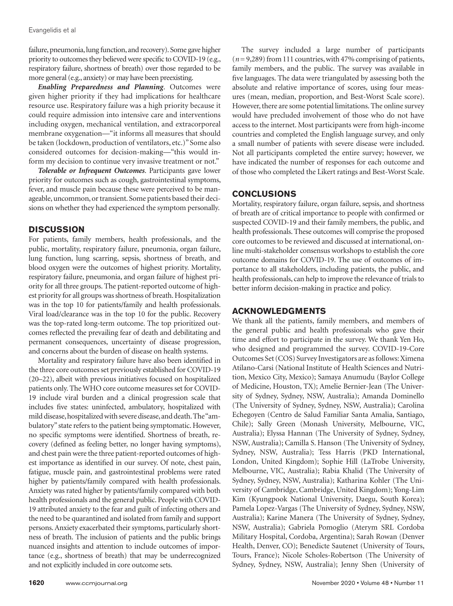failure, pneumonia, lung function, and recovery). Some gave higher priority to outcomes they believed were specific to COVID-19 (e.g., respiratory failure, shortness of breath) over those regarded to be more general (e.g., anxiety) or may have been preexisting.

*Enabling Preparedness and Planning*. Outcomes were given higher priority if they had implications for healthcare resource use. Respiratory failure was a high priority because it could require admission into intensive care and interventions including oxygen, mechanical ventilation, and extracorporeal membrane oxygenation—"it informs all measures that should be taken (lockdown, production of ventilators, etc.)" Some also considered outcomes for decision-making—"this would inform my decision to continue very invasive treatment or not."

*Tolerable or Infrequent Outcomes*. Participants gave lower priority for outcomes such as cough, gastrointestinal symptoms, fever, and muscle pain because these were perceived to be manageable, uncommon, or transient. Some patients based their decisions on whether they had experienced the symptom personally.

## **DISCUSSION**

For patients, family members, health professionals, and the public, mortality, respiratory failure, pneumonia, organ failure, lung function, lung scarring, sepsis, shortness of breath, and blood oxygen were the outcomes of highest priority. Mortality, respiratory failure, pneumonia, and organ failure of highest priority for all three groups. The patient-reported outcome of highest priority for all groups was shortness of breath. Hospitalization was in the top 10 for patients/family and health professionals. Viral load/clearance was in the top 10 for the public. Recovery was the top-rated long-term outcome. The top prioritized outcomes reflected the prevailing fear of death and debilitating and permanent consequences, uncertainty of disease progression, and concerns about the burden of disease on health systems.

Mortality and respiratory failure have also been identified in the three core outcomes set previously established for COVID-19 (20–22), albeit with previous initiatives focused on hospitalized patients only. The WHO core outcome measures set for COVID-19 include viral burden and a clinical progression scale that includes five states: uninfected, ambulatory, hospitalized with mild disease, hospitalized with severe disease, and death. The "ambulatory" state refers to the patient being symptomatic. However, no specific symptoms were identified. Shortness of breath, recovery (defined as feeling better, no longer having symptoms), and chest pain were the three patient-reported outcomes of highest importance as identified in our survey. Of note, chest pain, fatigue, muscle pain, and gastrointestinal problems were rated higher by patients/family compared with health professionals. Anxiety was rated higher by patients/family compared with both health professionals and the general public. People with COVID-19 attributed anxiety to the fear and guilt of infecting others and the need to be quarantined and isolated from family and support persons. Anxiety exacerbated their symptoms, particularly shortness of breath. The inclusion of patients and the public brings nuanced insights and attention to include outcomes of importance (e.g., shortness of breath) that may be underrecognized and not explicitly included in core outcome sets.

The survey included a large number of participants (*n*=9,289) from 111 countries, with 47% comprising of patients, family members, and the public. The survey was available in five languages. The data were triangulated by assessing both the absolute and relative importance of scores, using four measures (mean, median, proportion, and Best-Worst Scale score). However, there are some potential limitations. The online survey would have precluded involvement of those who do not have access to the internet. Most participants were from high-income countries and completed the English language survey, and only a small number of patients with severe disease were included. Not all participants completed the entire survey; however, we have indicated the number of responses for each outcome and of those who completed the Likert ratings and Best-Worst Scale.

## **CONCLUSIONS**

Mortality, respiratory failure, organ failure, sepsis, and shortness of breath are of critical importance to people with confirmed or suspected COVID-19 and their family members, the public, and health professionals. These outcomes will comprise the proposed core outcomes to be reviewed and discussed at international, online multi-stakeholder consensus workshops to establish the core outcome domains for COVID-19. The use of outcomes of importance to all stakeholders, including patients, the public, and health professionals, can help to improve the relevance of trials to better inform decision-making in practice and policy.

## **ACKNOWLEDGMENTS**

We thank all the patients, family members, and members of the general public and health professionals who gave their time and effort to participate in the survey. We thank Yen Ho, who designed and programmed the survey. COVID-19-Core Outcomes Set (COS) Survey Investigators are as follows: Ximena Atilano-Carsi (National Institute of Health Sciences and Nutrition, Mexico City, Mexico); Samaya Anumudu (Baylor College of Medicine, Houston, TX); Amelie Bernier-Jean (The University of Sydney, Sydney, NSW, Australia); Amanda Dominello (The University of Sydney, Sydney, NSW, Australia); Carolina Echegoyen (Centro de Salud Familiar Santa Amalia, Santiago, Chile); Sally Green (Monash University, Melbourne, VIC, Australia); Elyssa Hannan (The University of Sydney, Sydney, NSW, Australia); Camilla S. Hanson (The University of Sydney, Sydney, NSW, Australia); Tess Harris (PKD International, London, United Kingdom); Sophie Hill (LaTrobe University, Melbourne, VIC, Australia); Rabia Khalid (The University of Sydney, Sydney, NSW, Australia); Katharina Kohler (The University of Cambridge, Cambridge, United Kingdom); Yong-Lim Kim (Kyungpook National University, Daegu, South Korea); Pamela Lopez-Vargas (The University of Sydney, Sydney, NSW, Australia); Karine Manera (The University of Sydney, Sydney, NSW, Australia); Gabriela Pomoglio (Aterym SRL Cordoba Military Hospital, Cordoba, Argentina); Sarah Rowan (Denver Health, Denver, CO); Benedicte Sautenet (University of Tours, Tours, France); Nicole Scholes-Robertson (The University of Sydney, Sydney, NSW, Australia); Jenny Shen (University of